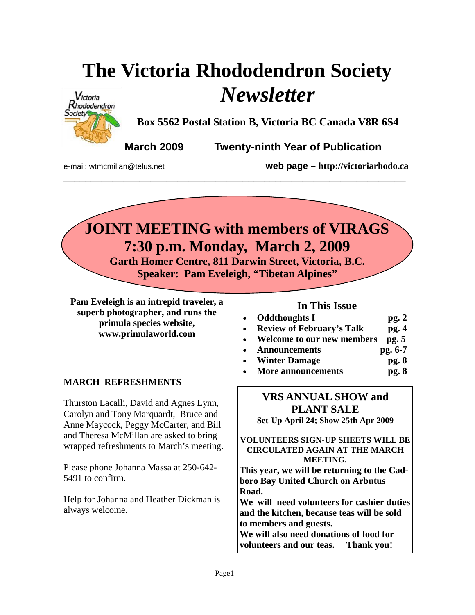# **The Victoria Rhododendron Society**  *Newsletter*



**Box 5562 Postal Station B, Victoria BC Canada V8R 6S4** 

**March 2009 Twenty-ninth Year of Publication** 

e-mail: wtmcmillan@telus.net **web page – http://victoriarhodo.ca**

# **JOINT MEETING with members of VIRAGS 7:30 p.m. Monday, March 2, 2009**

**\_\_\_\_\_\_\_\_\_\_\_\_\_\_\_\_\_\_\_\_\_\_\_\_\_\_\_\_\_\_\_\_\_\_\_\_\_\_\_\_\_\_\_\_\_\_\_\_\_\_\_\_\_\_\_\_\_\_\_\_\_\_\_** 

**Garth Homer Centre, 811 Darwin Street, Victoria, B.C. Speaker: Pam Eveleigh, "Tibetan Alpines"** 

**Pam Eveleigh is an intrepid traveler, a superb photographer, and runs the primula species website, www.primulaworld.com**

### **MARCH REFRESHMENTS**

Thurston Lacalli, David and Agnes Lynn, Carolyn and Tony Marquardt, Bruce and Anne Maycock, Peggy McCarter, and Bill and Theresa McMillan are asked to bring wrapped refreshments to March's meeting.

Please phone Johanna Massa at 250-642- 5491 to confirm.

Help for Johanna and Heather Dickman is always welcome.

### **In This Issue**

- **Oddthoughts I pg. 2**
- **Review of February's Talk pg. 4**
- **Welcome to our new members pg. 5**
- **Announcements pg. 6-7**
- **Winter Damage pg. 8**
- **More announcements pg. 8**

# **VRS ANNUAL SHOW and PLANT SALE**

**Set-Up April 24; Show 25th Apr 2009** 

#### **VOLUNTEERS SIGN-UP SHEETS WILL BE CIRCULATED AGAIN AT THE MARCH MEETING.**

**This year, we will be returning to the Cadboro Bay United Church on Arbutus Road.** 

**We will need volunteers for cashier duties and the kitchen, because teas will be sold to members and guests. We will also need donations of food for volunteers and our teas. Thank you!**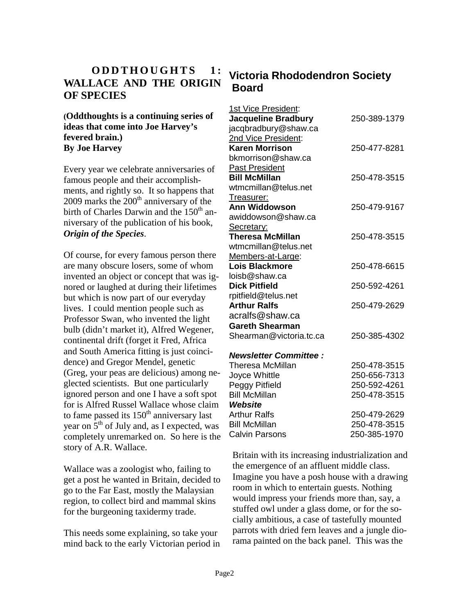# **ODDTHOUGHTS** 1: **WALLACE AND THE ORIGIN OF SPECIES**

#### **(Oddthoughts is a continuing series of ideas that come into Joe Harvey's fevered brain.) By Joe Harvey**

Every year we celebrate anniversaries of famous people and their accomplishments, and rightly so. It so happens that  $2009$  marks the  $200<sup>th</sup>$  anniversary of the birth of Charles Darwin and the 150<sup>th</sup> anniversary of the publication of his book, *Origin of the Species*.

Of course, for every famous person there are many obscure losers, some of whom invented an object or concept that was ignored or laughed at during their lifetimes but which is now part of our everyday lives. I could mention people such as Professor Swan, who invented the light bulb (didn't market it), Alfred Wegener, continental drift (forget it Fred, Africa and South America fitting is just coincidence) and Gregor Mendel, genetic (Greg, your peas are delicious) among neglected scientists. But one particularly ignored person and one I have a soft spot for is Alfred Russel Wallace whose claim to fame passed its 150<sup>th</sup> anniversary last year on  $5<sup>th</sup>$  of July and, as I expected, was completely unremarked on. So here is the story of A.R. Wallace.

Wallace was a zoologist who, failing to get a post he wanted in Britain, decided to go to the Far East, mostly the Malaysian region, to collect bird and mammal skins for the burgeoning taxidermy trade.

This needs some explaining, so take your mind back to the early Victorian period in

# **Victoria Rhododendron Society Board**

| 1st Vice President:          |              |
|------------------------------|--------------|
| <b>Jacqueline Bradbury</b>   | 250-389-1379 |
| jacqbradbury@shaw.ca         |              |
| 2nd Vice President:          |              |
| <b>Karen Morrison</b>        | 250-477-8281 |
| bkmorrison@shaw.ca           |              |
| <b>Past President</b>        |              |
| <b>Bill McMillan</b>         | 250-478-3515 |
| wtmcmillan@telus.net         |              |
| Treasurer:                   |              |
| <b>Ann Widdowson</b>         | 250-479-9167 |
| awiddowson@shaw.ca           |              |
| Secretary:                   |              |
| Theresa McMillan             | 250-478-3515 |
| wtmcmillan@telus.net         |              |
| Members-at-Large:            |              |
| <b>Lois Blackmore</b>        | 250-478-6615 |
| loisb@shaw.ca                |              |
| <b>Dick Pitfield</b>         | 250-592-4261 |
| rpitfield@telus.net          |              |
| <b>Arthur Ralfs</b>          | 250-479-2629 |
| acralfs@shaw.ca              |              |
| <b>Gareth Shearman</b>       |              |
| Shearman@victoria.tc.ca      | 250-385-4302 |
|                              |              |
| <b>Newsletter Committee:</b> |              |
| <b>Theresa McMillan</b>      | 250-478-3515 |
| Joyce Whittle                | 250-656-7313 |
| Peggy Pitfield               | 250-592-4261 |
| <b>Bill McMillan</b>         | 250-478-3515 |
| Website                      |              |
| <b>Arthur Ralfs</b>          | 250-479-2629 |
| <b>Bill McMillan</b>         | 250-478-3515 |
| <b>Calvin Parsons</b>        | 250-385-1970 |

Britain with its increasing industrialization and the emergence of an affluent middle class. Imagine you have a posh house with a drawing room in which to entertain guests. Nothing would impress your friends more than, say, a stuffed owl under a glass dome, or for the socially ambitious, a case of tastefully mounted parrots with dried fern leaves and a jungle diorama painted on the back panel. This was the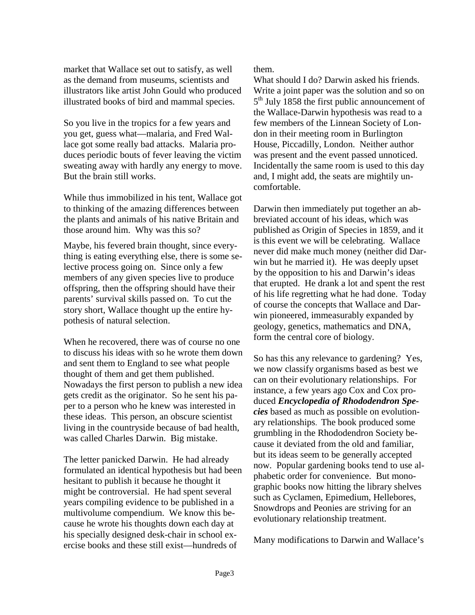market that Wallace set out to satisfy, as well as the demand from museums, scientists and illustrators like artist John Gould who produced illustrated books of bird and mammal species.

So you live in the tropics for a few years and you get, guess what—malaria, and Fred Wallace got some really bad attacks. Malaria produces periodic bouts of fever leaving the victim sweating away with hardly any energy to move. But the brain still works.

While thus immobilized in his tent, Wallace got to thinking of the amazing differences between the plants and animals of his native Britain and those around him. Why was this so?

Maybe, his fevered brain thought, since everything is eating everything else, there is some selective process going on. Since only a few members of any given species live to produce offspring, then the offspring should have their parents' survival skills passed on. To cut the story short, Wallace thought up the entire hypothesis of natural selection.

When he recovered, there was of course no one to discuss his ideas with so he wrote them down and sent them to England to see what people thought of them and get them published. Nowadays the first person to publish a new idea gets credit as the originator. So he sent his paper to a person who he knew was interested in these ideas. This person, an obscure scientist living in the countryside because of bad health, was called Charles Darwin. Big mistake.

The letter panicked Darwin. He had already formulated an identical hypothesis but had been hesitant to publish it because he thought it might be controversial. He had spent several years compiling evidence to be published in a multivolume compendium. We know this because he wrote his thoughts down each day at his specially designed desk-chair in school exercise books and these still exist—hundreds of

them.

What should I do? Darwin asked his friends. Write a joint paper was the solution and so on 5<sup>th</sup> July 1858 the first public announcement of the Wallace-Darwin hypothesis was read to a few members of the Linnean Society of London in their meeting room in Burlington House, Piccadilly, London. Neither author was present and the event passed unnoticed. Incidentally the same room is used to this day and, I might add, the seats are mightily uncomfortable.

Darwin then immediately put together an abbreviated account of his ideas, which was published as Origin of Species in 1859, and it is this event we will be celebrating. Wallace never did make much money (neither did Darwin but he married it). He was deeply upset by the opposition to his and Darwin's ideas that erupted. He drank a lot and spent the rest of his life regretting what he had done. Today of course the concepts that Wallace and Darwin pioneered, immeasurably expanded by geology, genetics, mathematics and DNA, form the central core of biology.

So has this any relevance to gardening? Yes, we now classify organisms based as best we can on their evolutionary relationships. For instance, a few years ago Cox and Cox produced *Encyclopedia of Rhododendron Species* based as much as possible on evolutionary relationships. The book produced some grumbling in the Rhododendron Society because it deviated from the old and familiar, but its ideas seem to be generally accepted now. Popular gardening books tend to use alphabetic order for convenience. But monographic books now hitting the library shelves such as Cyclamen, Epimedium, Hellebores, Snowdrops and Peonies are striving for an evolutionary relationship treatment.

Many modifications to Darwin and Wallace's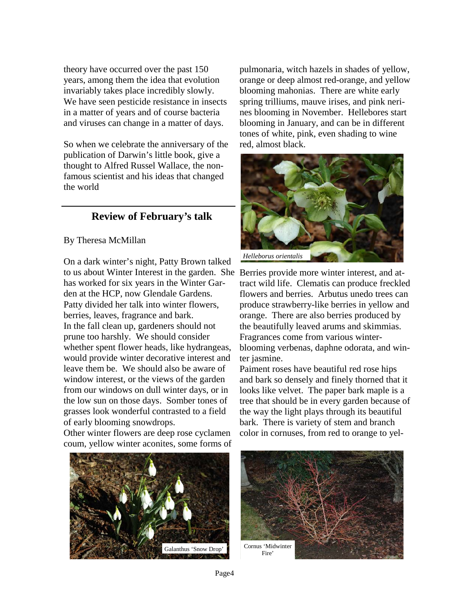theory have occurred over the past 150 years, among them the idea that evolution invariably takes place incredibly slowly. We have seen pesticide resistance in insects in a matter of years and of course bacteria and viruses can change in a matter of days.

So when we celebrate the anniversary of the publication of Darwin's little book, give a thought to Alfred Russel Wallace, the nonfamous scientist and his ideas that changed the world

#### **Review of February's talk**

#### By Theresa McMillan

On a dark winter's night, Patty Brown talked to us about Winter Interest in the garden. She Berries provide more winter interest, and athas worked for six years in the Winter Garden at the HCP, now Glendale Gardens. Patty divided her talk into winter flowers, berries, leaves, fragrance and bark. In the fall clean up, gardeners should not prune too harshly. We should consider whether spent flower heads, like hydrangeas, would provide winter decorative interest and leave them be. We should also be aware of window interest, or the views of the garden from our windows on dull winter days, or in the low sun on those days. Somber tones of grasses look wonderful contrasted to a field of early blooming snowdrops.

Other winter flowers are deep rose cyclamen coum, yellow winter aconites, some forms of pulmonaria, witch hazels in shades of yellow, orange or deep almost red-orange, and yellow blooming mahonias. There are white early spring trilliums, mauve irises, and pink nerines blooming in November. Hellebores start blooming in January, and can be in different tones of white, pink, even shading to wine red, almost black.



tract wild life. Clematis can produce freckled flowers and berries. Arbutus unedo trees can produce strawberry-like berries in yellow and orange. There are also berries produced by the beautifully leaved arums and skimmias. Fragrances come from various winterblooming verbenas, daphne odorata, and winter jasmine.

Paiment roses have beautiful red rose hips and bark so densely and finely thorned that it looks like velvet. The paper bark maple is a tree that should be in every garden because of the way the light plays through its beautiful bark. There is variety of stem and branch color in cornuses, from red to orange to yel-



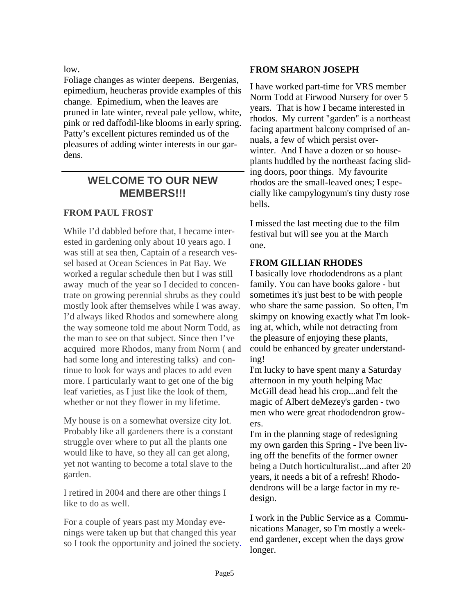low.

Foliage changes as winter deepens. Bergenias, epimedium, heucheras provide examples of this change. Epimedium, when the leaves are pruned in late winter, reveal pale yellow, white, pink or red daffodil-like blooms in early spring. Patty's excellent pictures reminded us of the pleasures of adding winter interests in our gardens.

## **WELCOME TO OUR NEW MEMBERS!!!**

#### **FROM PAUL FROST**

While I'd dabbled before that, I became interested in gardening only about 10 years ago. I was still at sea then, Captain of a research vessel based at Ocean Sciences in Pat Bay. We worked a regular schedule then but I was still away much of the year so I decided to concentrate on growing perennial shrubs as they could mostly look after themselves while I was away. I'd always liked Rhodos and somewhere along the way someone told me about Norm Todd, as the man to see on that subject. Since then I've acquired more Rhodos, many from Norm ( and had some long and interesting talks) and continue to look for ways and places to add even more. I particularly want to get one of the big leaf varieties, as I just like the look of them, whether or not they flower in my lifetime.

My house is on a somewhat oversize city lot. Probably like all gardeners there is a constant struggle over where to put all the plants one would like to have, so they all can get along, yet not wanting to become a total slave to the garden.

I retired in 2004 and there are other things I like to do as well.

For a couple of years past my Monday evenings were taken up but that changed this year so I took the opportunity and joined the society.

#### **FROM SHARON JOSEPH**

I have worked part-time for VRS member Norm Todd at Firwood Nursery for over 5 years. That is how I became interested in rhodos. My current "garden" is a northeast facing apartment balcony comprised of annuals, a few of which persist overwinter. And I have a dozen or so houseplants huddled by the northeast facing sliding doors, poor things. My favourite rhodos are the small-leaved ones; I especially like campylogynum's tiny dusty rose bells.

I missed the last meeting due to the film festival but will see you at the March one.

#### **FROM GILLIAN RHODES**

I basically love rhododendrons as a plant family. You can have books galore - but sometimes it's just best to be with people who share the same passion. So often, I'm skimpy on knowing exactly what I'm looking at, which, while not detracting from the pleasure of enjoying these plants, could be enhanced by greater understanding!

I'm lucky to have spent many a Saturday afternoon in my youth helping Mac McGill dead head his crop...and felt the magic of Albert deMezey's garden - two men who were great rhododendron growers.

I'm in the planning stage of redesigning my own garden this Spring - I've been living off the benefits of the former owner being a Dutch horticulturalist...and after 20 years, it needs a bit of a refresh! Rhododendrons will be a large factor in my redesign.

I work in the Public Service as a Communications Manager, so I'm mostly a weekend gardener, except when the days grow longer.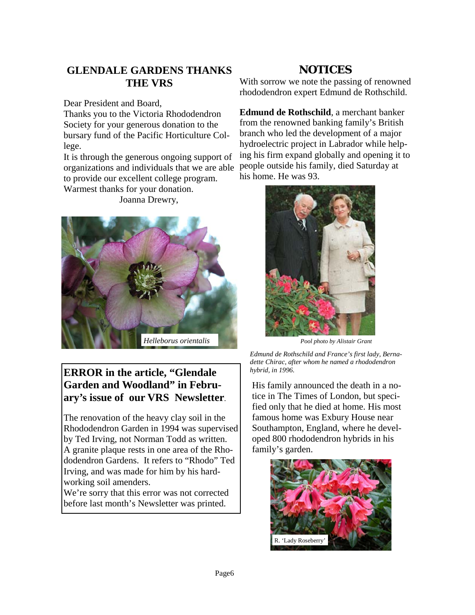# **GLENDALE GARDENS THANKS THE VRS**

Dear President and Board,

Thanks you to the Victoria Rhododendron Society for your generous donation to the bursary fund of the Pacific Horticulture College.

It is through the generous ongoing support of organizations and individuals that we are able to provide our excellent college program. Warmest thanks for your donation.

Joanna Drewry,



# **ERROR in the article, "Glendale Garden and Woodland" in February's issue of our VRS Newsletter**.

The renovation of the heavy clay soil in the Rhododendron Garden in 1994 was supervised by Ted Irving, not Norman Todd as written. A granite plaque rests in one area of the Rhododendron Gardens. It refers to "Rhodo" Ted Irving, and was made for him by his hardworking soil amenders.

We're sorry that this error was not corrected before last month's Newsletter was printed.

# **NOTICES**

With sorrow we note the passing of renowned rhododendron expert Edmund de Rothschild.

**Edmund de Rothschild**, a merchant banker from the renowned banking family's British branch who led the development of a major hydroelectric project in Labrador while helping his firm expand globally and opening it to people outside his family, died Saturday at his home. He was 93.



*Pool photo by Alistair Grant* 

*Edmund de Rothschild and France's first lady, Bernadette Chirac, after whom he named a rhododendron hybrid, in 1996.* 

His family announced the death in a notice in The Times of London, but specified only that he died at home. His most famous home was Exbury House near Southampton, England, where he developed 800 rhododendron hybrids in his family's garden.

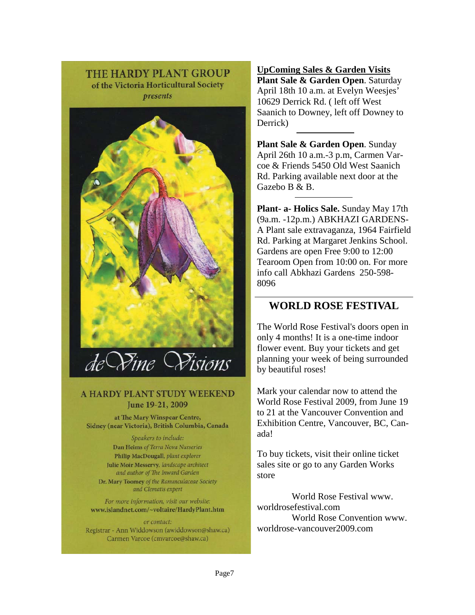**THE HARDY PLANT GROUP** of the Victoria Horticultural Society presents



#### A HARDY PLANT STUDY WEEKEND June 19-21, 2009

at The Mary Winspear Centre, Sidney (near Victoria), British Columbia, Canada

> Speakers to include: Dan Heims of Terra Nova Nurseries Philip MacDougall, plant explorer Julie Moir Messervy, landscape architect and author of The Inward Garden

Dr. Mary Toomey of the Ramunculaceae Society and Clematis expert

For more information, visit our website: www.islandnet.com/~voltaire/HardyPlant.htm

or contact: Registrar - Ann Widdowson (awiddowson@shaw.ca) Carmen Varcoe (cmvarcoe@shaw.ca)

**UpComing Sales & Garden Visits Plant Sale & Garden Open**. Saturday April 18th 10 a.m. at Evelyn Weesjes' 10629 Derrick Rd. ( left off West Saanich to Downey, left off Downey to Derrick)

**Plant Sale & Garden Open**. Sunday April 26th 10 a.m.-3 p.m, Carmen Varcoe & Friends 5450 Old West Saanich Rd. Parking available next door at the Gazebo B & B.

**Plant- a- Holics Sale.** Sunday May 17th (9a.m. -12p.m.) ABKHAZI GARDENS-A Plant sale extravaganza, 1964 Fairfield Rd. Parking at Margaret Jenkins School. Gardens are open Free 9:00 to 12:00 Tearoom Open from 10:00 on. For more info call Abkhazi Gardens 250-598- 8096

## **WORLD ROSE FESTIVAL**

The World Rose Festival's doors open in only 4 months! It is a one-time indoor flower event. Buy your tickets and get planning your week of being surrounded by beautiful roses!

Mark your calendar now to attend the World Rose Festival 2009, from June 19 to 21 at the Vancouver Convention and Exhibition Centre, Vancouver, BC, Canada!

To buy tickets, visit their online ticket sales site or go to any Garden Works store

 World Rose Festival www. worldrosefestival.com World Rose Convention www. worldrose-vancouver2009.com